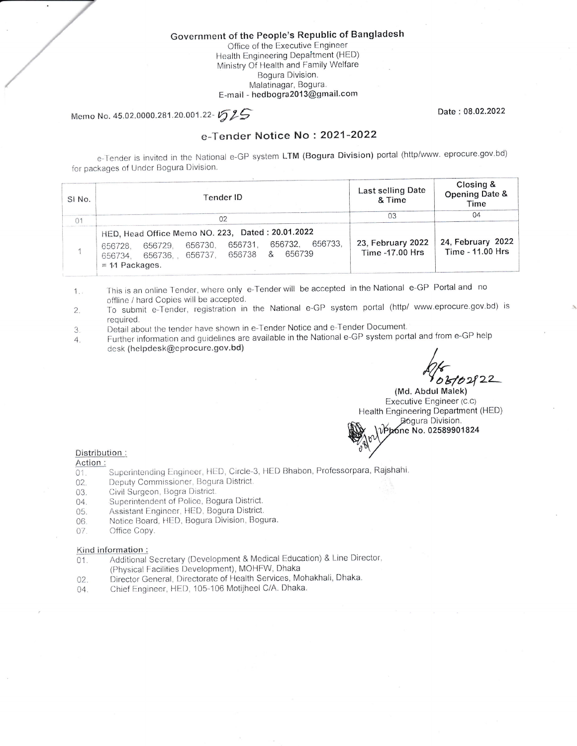# Government of the People's Republic of Bangladesh

Office of the Executive Engineer Health Engineering Department (HED) Ministry Of Health and Family Welfare Bogura Division. Malatinagar, Bogura. E-mail - hedbogra2013@gmail.com

Memo No. 45.02.0000.281.20.001.22-1525

Date: 08.02.2022

### e-Tender Notice No: 2021-2022

e-Tender is invited in the National e-GP system LTM (Bogura Division) portal (http/www. eprocure.gov.bd) for packages of Under Bogura Division.

| SI <sub>No.</sub> | Tender ID                                                                                                                                                                         | Last selling Date<br>& Time          | Closing &<br>Opening Date &<br>Time   |
|-------------------|-----------------------------------------------------------------------------------------------------------------------------------------------------------------------------------|--------------------------------------|---------------------------------------|
| η۰                | 02                                                                                                                                                                                | 03                                   | 04                                    |
|                   | HED, Head Office Memo NO. 223, Dated: 20.01.2022<br>656733.<br>656732.<br>656730, 656731,<br>656729.<br>656728.<br>656739<br>656734, 656736, 656737, 656738 &<br>$= 11$ Packages. | 23. February 2022<br>Time -17.00 Hrs | 24. February 2022<br>Time - 11.00 Hrs |

This is an online Tender, where only e-Tender will be accepted in the National e-GP Portal and no  $1.7$ offline / hard Copies will be accepted.

- To submit e-Tender, registration in the National e-GP system portal (http/ www.eprocure.gov.bd) is  $\overline{2}$ . required.
- Detail about the tender have shown in e-Tender Notice and e-Tender Document. 3.
- Further information and guidelines are available in the National e-GP system portal and from e-GP help  $\overline{4}$ . desk (helpdesk@eprocure.gov.bd)

 $102822$ 

(Md. Abdul Malek) Executive Engineer (C.C) Health Engineering Department (HED) Bogura Division. Vp6ne No. 02589901824

### Distribution:

- Action:
- Superintending Engineer, HED, Circle-3, HED Bhabon, Professorpara, Rajshahi.  $01.$
- Deputy Commissioner, Bogura District. 02.
- Civil Surgeon, Bogra District. 03.
- Superintendent of Police, Bogura District. 04.
- Assistant Engineer, HED, Bogura District. 05.
- Notice Board, HED, Bogura Division, Bogura. 06.
- Office Copy. 07.

#### Kind information:

- Additional Secretary (Development & Medical Education) & Line Director,  $01.$ (Physical Facilities Development), MOHFW, Dhaka
- Director General, Directorate of Health Services, Mohakhali, Dhaka. 02.
- Chief Engineer, HED, 105-106 Motijheel C/A. Dhaka. 04.